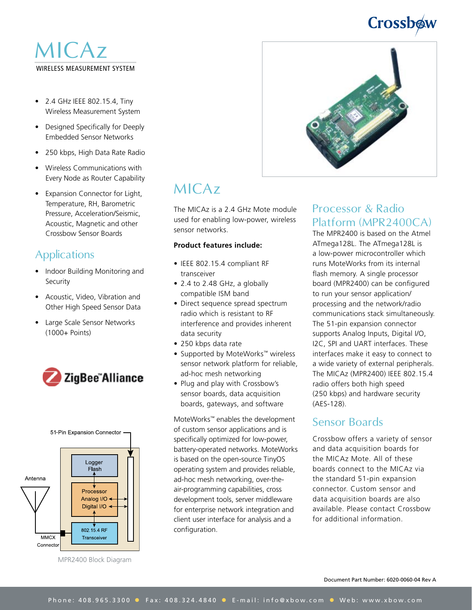# Crossbow

### WIRELESS MEASUREMENT SYSTEM MICAz

- 2.4 GHz IEEE 802.15.4, Tiny Wireless Measurement System
- Designed Specifically for Deeply Embedded Sensor Networks
- 250 kbps, High Data Rate Radio
- Wireless Communications with Every Node as Router Capability
- Expansion Connector for Light, Temperature, RH, Barometric Pressure, Acceleration/Seismic, Acoustic, Magnetic and other Crossbow Sensor Boards

### **Applications**

- Indoor Building Monitoring and **Security**
- Acoustic, Video, Vibration and Other High Speed Sensor Data
- Large Scale Sensor Networks (1000+ Points)





MPR2400 Block Diagram



## MICAz

The MICAz is a 2.4 GHz Mote module used for enabling low-power, wireless sensor networks.

#### **Product features include:**

- IEEE 802.15.4 compliant RF transceiver
- 2.4 to 2.48 GHz, a globally compatible ISM band
- Direct sequence spread spectrum radio which is resistant to RF interference and provides inherent data security
- 250 kbps data rate
- Supported by MoteWorks™ wireless sensor network platform for reliable, ad-hoc mesh networking
- Plug and play with Crossbow's sensor boards, data acquisition boards, gateways, and software

MoteWorks™ enables the development of custom sensor applications and is specifically optimized for low-power, battery-operated networks. MoteWorks is based on the open-source TinyOS operating system and provides reliable, ad-hoc mesh networking, over-theair-programming capabilities, cross development tools, server middleware for enterprise network integration and client user interface for analysis and a configuration.

### Processor & Radio Platform (MPR2400CA)

The MPR2400 is based on the Atmel ATmega128L. The ATmega128L is a low-power microcontroller which runs MoteWorks from its internal flash memory. A single processor board (MPR2400) can be configured to run your sensor application/ processing and the network/radio communications stack simultaneously. The 51-pin expansion connector supports Analog Inputs, Digital I/O, I2C, SPI and UART interfaces. These interfaces make it easy to connect to a wide variety of external peripherals. The MICAz (MPR2400) IEEE 802.15.4 radio offers both high speed (250 kbps) and hardware security (AES-128).

### Sensor Boards

Crossbow offers a variety of sensor and data acquisition boards for the MICAz Mote. All of these boards connect to the MICAz via the standard 51-pin expansion connector. Custom sensor and data acquisition boards are also available. Please contact Crossbow for additional information.